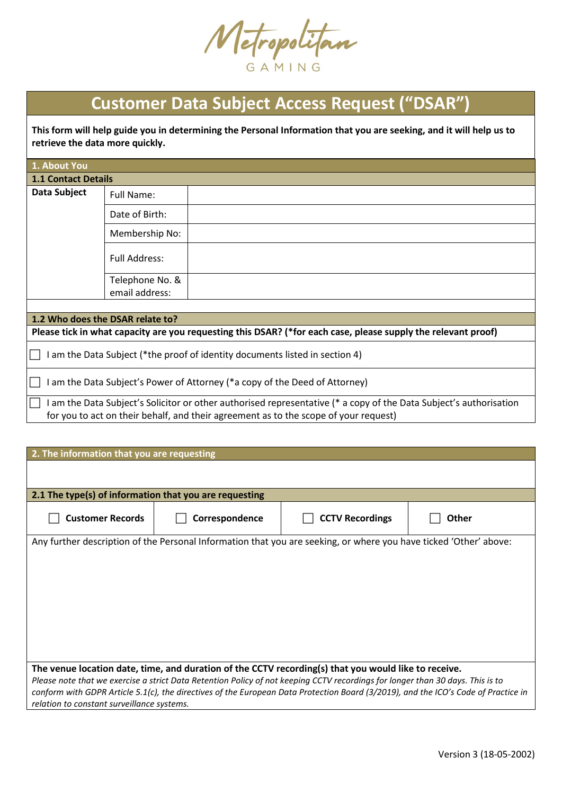Metropolitan

## **Customer Data Subject Access Request ("DSAR")**

**This form will help guide you in determining the Personal Information that you are seeking, and it will help us to retrieve the data more quickly.**

| 1. About You                                                                                                                                                                                               |                                  |                                                                                                               |
|------------------------------------------------------------------------------------------------------------------------------------------------------------------------------------------------------------|----------------------------------|---------------------------------------------------------------------------------------------------------------|
| <b>1.1 Contact Details</b>                                                                                                                                                                                 |                                  |                                                                                                               |
| Data Subject                                                                                                                                                                                               | Full Name:                       |                                                                                                               |
|                                                                                                                                                                                                            | Date of Birth:                   |                                                                                                               |
|                                                                                                                                                                                                            | Membership No:                   |                                                                                                               |
|                                                                                                                                                                                                            | <b>Full Address:</b>             |                                                                                                               |
|                                                                                                                                                                                                            | Telephone No. &                  |                                                                                                               |
|                                                                                                                                                                                                            | email address:                   |                                                                                                               |
|                                                                                                                                                                                                            |                                  |                                                                                                               |
|                                                                                                                                                                                                            | 1.2 Who does the DSAR relate to? |                                                                                                               |
|                                                                                                                                                                                                            |                                  | Please tick in what capacity are you requesting this DSAR? (*for each case, please supply the relevant proof) |
| I am the Data Subject (*the proof of identity documents listed in section 4)                                                                                                                               |                                  |                                                                                                               |
|                                                                                                                                                                                                            |                                  | am the Data Subject's Power of Attorney (*a copy of the Deed of Attorney)                                     |
| I am the Data Subject's Solicitor or other authorised representative (* a copy of the Data Subject's authorisation<br>for you to act on their behalf, and their agreement as to the scope of your request) |                                  |                                                                                                               |

| 2. The information that you are requesting                                                                                     |                                                                                                                                    |                        |       |  |
|--------------------------------------------------------------------------------------------------------------------------------|------------------------------------------------------------------------------------------------------------------------------------|------------------------|-------|--|
|                                                                                                                                |                                                                                                                                    |                        |       |  |
|                                                                                                                                |                                                                                                                                    |                        |       |  |
| 2.1 The type(s) of information that you are requesting                                                                         |                                                                                                                                    |                        |       |  |
| <b>Customer Records</b>                                                                                                        | Correspondence                                                                                                                     | <b>CCTV Recordings</b> | Other |  |
|                                                                                                                                | Any further description of the Personal Information that you are seeking, or where you have ticked 'Other' above:                  |                        |       |  |
|                                                                                                                                |                                                                                                                                    |                        |       |  |
|                                                                                                                                |                                                                                                                                    |                        |       |  |
|                                                                                                                                |                                                                                                                                    |                        |       |  |
|                                                                                                                                |                                                                                                                                    |                        |       |  |
|                                                                                                                                |                                                                                                                                    |                        |       |  |
|                                                                                                                                |                                                                                                                                    |                        |       |  |
|                                                                                                                                |                                                                                                                                    |                        |       |  |
|                                                                                                                                |                                                                                                                                    |                        |       |  |
|                                                                                                                                |                                                                                                                                    |                        |       |  |
| The venue location date, time, and duration of the CCTV recording(s) that you would like to receive.                           |                                                                                                                                    |                        |       |  |
| Please note that we exercise a strict Data Retention Policy of not keeping CCTV recordings for longer than 30 days. This is to |                                                                                                                                    |                        |       |  |
|                                                                                                                                | conform with GDPR Article 5.1(c), the directives of the European Data Protection Board (3/2019), and the ICO's Code of Practice in |                        |       |  |
| relation to constant surveillance systems.                                                                                     |                                                                                                                                    |                        |       |  |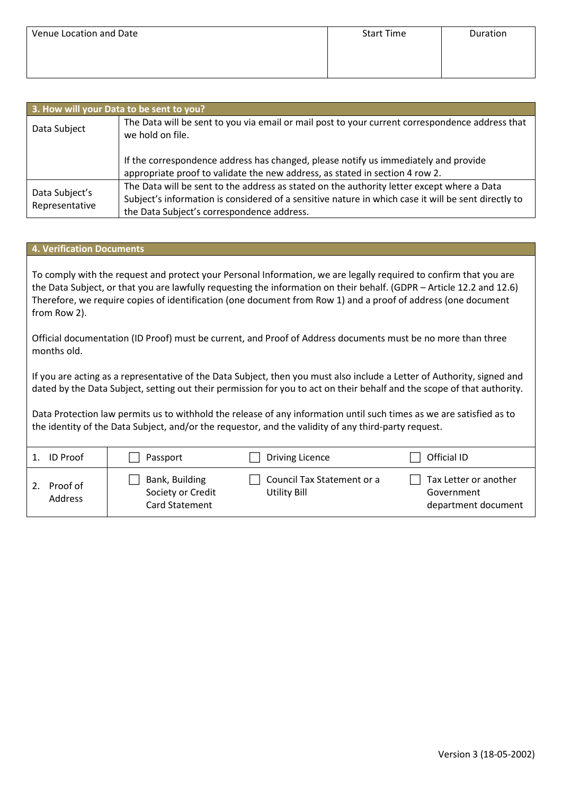| Venue Location and Date | <b>Start Time</b> | Duration |
|-------------------------|-------------------|----------|
|                         |                   |          |
|                         |                   |          |

| 3. How will your Data to be sent to you? |                                                                                                                                                                                                                                                 |  |  |
|------------------------------------------|-------------------------------------------------------------------------------------------------------------------------------------------------------------------------------------------------------------------------------------------------|--|--|
| Data Subject                             | The Data will be sent to you via email or mail post to your current correspondence address that<br>we hold on file.                                                                                                                             |  |  |
|                                          | If the correspondence address has changed, please notify us immediately and provide<br>appropriate proof to validate the new address, as stated in section 4 row 2.                                                                             |  |  |
| Data Subject's<br>Representative         | The Data will be sent to the address as stated on the authority letter except where a Data<br>Subject's information is considered of a sensitive nature in which case it will be sent directly to<br>the Data Subject's correspondence address. |  |  |

## **4. Verification Documents**

To comply with the request and protect your Personal Information, we are legally required to confirm that you are the Data Subject, or that you are lawfully requesting the information on their behalf. (GDPR – Article 12.2 and 12.6) Therefore, we require copies of identification (one document from Row 1) and a proof of address (one document from Row 2).

Official documentation (ID Proof) must be current, and Proof of Address documents must be no more than three months old.

If you are acting as a representative of the Data Subject, then you must also include a Letter of Authority, signed and dated by the Data Subject, setting out their permission for you to act on their behalf and the scope of that authority.

Data Protection law permits us to withhold the release of any information until such times as we are satisfied as to the identity of the Data Subject, and/or the requestor, and the validity of any third-party request.

| <b>ID</b> Proof     | Passport                                              | Driving Licence                            | Official ID                                                |
|---------------------|-------------------------------------------------------|--------------------------------------------|------------------------------------------------------------|
| Proof of<br>Address | Bank, Building<br>Society or Credit<br>Card Statement | Council Tax Statement or a<br>Utility Bill | Tax Letter or another<br>Government<br>department document |